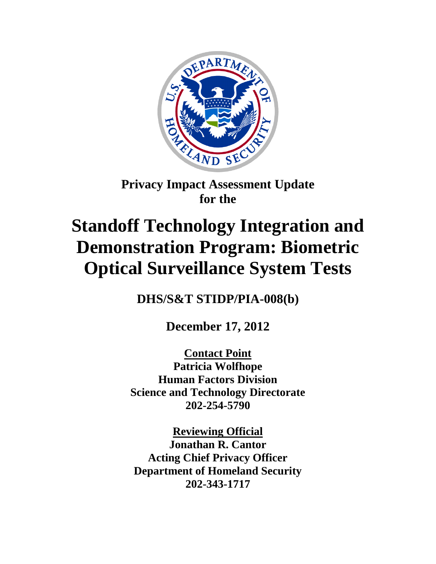

## **Privacy Impact Assessment Update for the**

# **Standoff Technology Integration and Demonstration Program: Biometric Optical Surveillance System Tests**

**DHS/S&T STIDP/PIA-008(b)**

**December 17, 2012**

**Contact Point Patricia Wolfhope Human Factors Division Science and Technology Directorate 202-254-5790**

**Reviewing Official Jonathan R. Cantor Acting Chief Privacy Officer Department of Homeland Security 202-343-1717**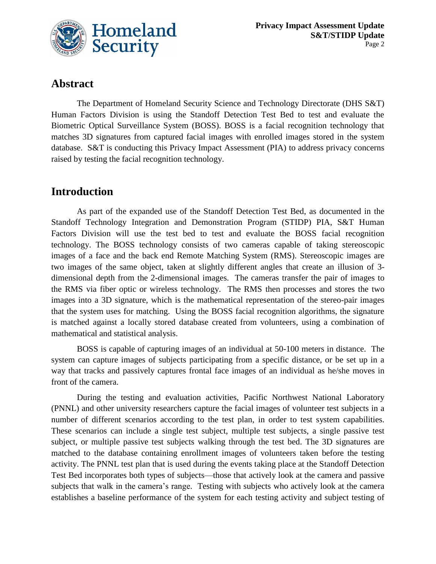

## **Abstract**

The Department of Homeland Security Science and Technology Directorate (DHS S&T) Human Factors Division is using the Standoff Detection Test Bed to test and evaluate the Biometric Optical Surveillance System (BOSS). BOSS is a facial recognition technology that matches 3D signatures from captured facial images with enrolled images stored in the system database. S&T is conducting this Privacy Impact Assessment (PIA) to address privacy concerns raised by testing the facial recognition technology.

## **Introduction**

As part of the expanded use of the Standoff Detection Test Bed, as documented in the Standoff Technology Integration and Demonstration Program (STIDP) PIA, S&T Human Factors Division will use the test bed to test and evaluate the BOSS facial recognition technology. The BOSS technology consists of two cameras capable of taking stereoscopic images of a face and the back end Remote Matching System (RMS). Stereoscopic images are two images of the same object, taken at slightly different angles that create an illusion of 3 dimensional depth from the 2-dimensional images. The cameras transfer the pair of images to the RMS via fiber optic or wireless technology. The RMS then processes and stores the two images into a 3D signature, which is the mathematical representation of the stereo-pair images that the system uses for matching. Using the BOSS facial recognition algorithms, the signature is matched against a locally stored database created from volunteers, using a combination of mathematical and statistical analysis.

BOSS is capable of capturing images of an individual at 50-100 meters in distance. The system can capture images of subjects participating from a specific distance, or be set up in a way that tracks and passively captures frontal face images of an individual as he/she moves in front of the camera.

During the testing and evaluation activities, Pacific Northwest National Laboratory (PNNL) and other university researchers capture the facial images of volunteer test subjects in a number of different scenarios according to the test plan, in order to test system capabilities. These scenarios can include a single test subject, multiple test subjects, a single passive test subject, or multiple passive test subjects walking through the test bed. The 3D signatures are matched to the database containing enrollment images of volunteers taken before the testing activity. The PNNL test plan that is used during the events taking place at the Standoff Detection Test Bed incorporates both types of subjects—those that actively look at the camera and passive subjects that walk in the camera's range. Testing with subjects who actively look at the camera establishes a baseline performance of the system for each testing activity and subject testing of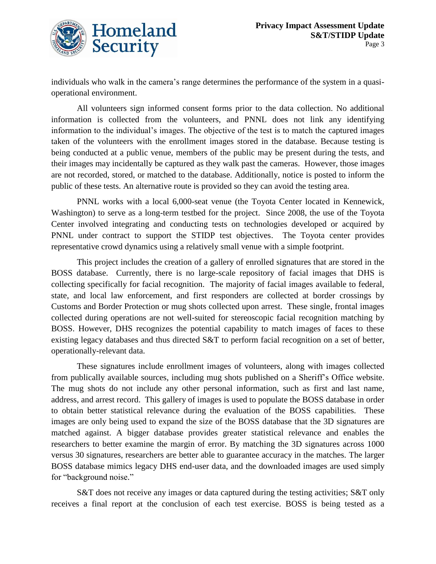

individuals who walk in the camera's range determines the performance of the system in a quasioperational environment.

All volunteers sign informed consent forms prior to the data collection. No additional information is collected from the volunteers, and PNNL does not link any identifying information to the individual's images. The objective of the test is to match the captured images taken of the volunteers with the enrollment images stored in the database. Because testing is being conducted at a public venue, members of the public may be present during the tests, and their images may incidentally be captured as they walk past the cameras. However, those images are not recorded, stored, or matched to the database. Additionally, notice is posted to inform the public of these tests. An alternative route is provided so they can avoid the testing area.

PNNL works with a local 6,000-seat venue (the Toyota Center located in Kennewick, Washington) to serve as a long-term testbed for the project. Since 2008, the use of the Toyota Center involved integrating and conducting tests on technologies developed or acquired by PNNL under contract to support the STIDP test objectives. The Toyota center provides representative crowd dynamics using a relatively small venue with a simple footprint.

This project includes the creation of a gallery of enrolled signatures that are stored in the BOSS database. Currently, there is no large-scale repository of facial images that DHS is collecting specifically for facial recognition. The majority of facial images available to federal, state, and local law enforcement, and first responders are collected at border crossings by Customs and Border Protection or mug shots collected upon arrest. These single, frontal images collected during operations are not well-suited for stereoscopic facial recognition matching by BOSS. However, DHS recognizes the potential capability to match images of faces to these existing legacy databases and thus directed S&T to perform facial recognition on a set of better, operationally-relevant data.

These signatures include enrollment images of volunteers, along with images collected from publically available sources, including mug shots published on a Sheriff's Office website. The mug shots do not include any other personal information, such as first and last name, address, and arrest record. This gallery of images is used to populate the BOSS database in order to obtain better statistical relevance during the evaluation of the BOSS capabilities. These images are only being used to expand the size of the BOSS database that the 3D signatures are matched against. A bigger database provides greater statistical relevance and enables the researchers to better examine the margin of error. By matching the 3D signatures across 1000 versus 30 signatures, researchers are better able to guarantee accuracy in the matches. The larger BOSS database mimics legacy DHS end-user data, and the downloaded images are used simply for "background noise."

S&T does not receive any images or data captured during the testing activities; S&T only receives a final report at the conclusion of each test exercise. BOSS is being tested as a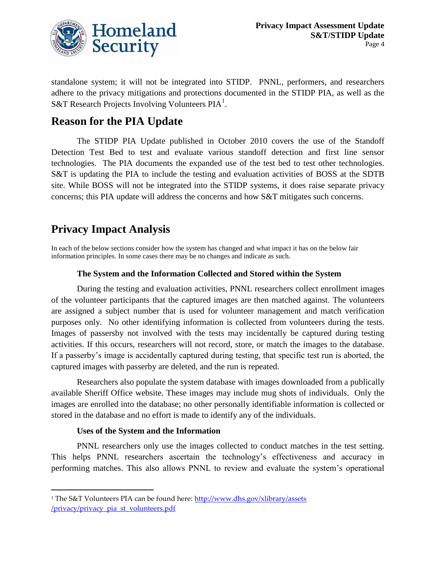

standalone system; it will not be integrated into STIDP. PNNL, performers, and researchers adhere to the privacy mitigations and protections documented in the STIDP PIA, as well as the S&T Research Projects Involving Volunteers PIA<sup>1</sup>.

## **Reason for the PIA Update**

The STIDP PIA Update published in October 2010 covers the use of the Standoff Detection Test Bed to test and evaluate various standoff detection and first line sensor technologies. The PIA documents the expanded use of the test bed to test other technologies. S&T is updating the PIA to include the testing and evaluation activities of BOSS at the SDTB site. While BOSS will not be integrated into the STIDP systems, it does raise separate privacy concerns; this PIA update will address the concerns and how S&T mitigates such concerns.

## **Privacy Impact Analysis**

In each of the below sections consider how the system has changed and what impact it has on the below fair information principles. In some cases there may be no changes and indicate as such.

#### **The System and the Information Collected and Stored within the System**

During the testing and evaluation activities, PNNL researchers collect enrollment images of the volunteer participants that the captured images are then matched against. The volunteers are assigned a subject number that is used for volunteer management and match verification purposes only. No other identifying information is collected from volunteers during the tests. Images of passersby not involved with the tests may incidentally be captured during testing activities. If this occurs, researchers will not record, store, or match the images to the database. If a passerby's image is accidentally captured during testing, that specific test run is aborted, the captured images with passerby are deleted, and the run is repeated.

Researchers also populate the system database with images downloaded from a publically available Sheriff Office website. These images may include mug shots of individuals. Only the images are enrolled into the database; no other personally identifiable information is collected or stored in the database and no effort is made to identify any of the individuals.

#### **Uses of the System and the Information**

 $\overline{a}$ 

PNNL researchers only use the images collected to conduct matches in the test setting. This helps PNNL researchers ascertain the technology's effectiveness and accuracy in performing matches. This also allows PNNL to review and evaluate the system's operational

<sup>1</sup> The S&T Volunteers PIA can be found here: [http://www.dhs.gov/xlibrary/assets](http://www.dhs.gov/xlibrary/assets%20/privacy/privacy_pia_st_volunteers.pdf)  [/privacy/privacy\\_pia\\_st\\_volunteers.pdf](http://www.dhs.gov/xlibrary/assets%20/privacy/privacy_pia_st_volunteers.pdf)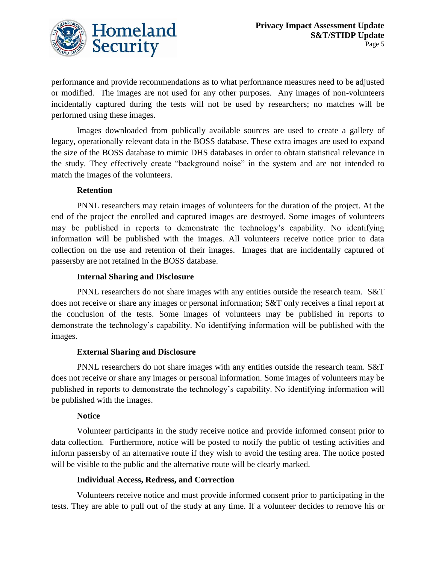

performance and provide recommendations as to what performance measures need to be adjusted or modified. The images are not used for any other purposes. Any images of non-volunteers incidentally captured during the tests will not be used by researchers; no matches will be performed using these images.

Images downloaded from publically available sources are used to create a gallery of legacy, operationally relevant data in the BOSS database. These extra images are used to expand the size of the BOSS database to mimic DHS databases in order to obtain statistical relevance in the study. They effectively create "background noise" in the system and are not intended to match the images of the volunteers.

#### **Retention**

PNNL researchers may retain images of volunteers for the duration of the project. At the end of the project the enrolled and captured images are destroyed. Some images of volunteers may be published in reports to demonstrate the technology's capability. No identifying information will be published with the images. All volunteers receive notice prior to data collection on the use and retention of their images. Images that are incidentally captured of passersby are not retained in the BOSS database.

#### **Internal Sharing and Disclosure**

PNNL researchers do not share images with any entities outside the research team. S&T does not receive or share any images or personal information; S&T only receives a final report at the conclusion of the tests. Some images of volunteers may be published in reports to demonstrate the technology's capability. No identifying information will be published with the images.

#### **External Sharing and Disclosure**

PNNL researchers do not share images with any entities outside the research team. S&T does not receive or share any images or personal information. Some images of volunteers may be published in reports to demonstrate the technology's capability. No identifying information will be published with the images.

#### **Notice**

Volunteer participants in the study receive notice and provide informed consent prior to data collection. Furthermore, notice will be posted to notify the public of testing activities and inform passersby of an alternative route if they wish to avoid the testing area. The notice posted will be visible to the public and the alternative route will be clearly marked.

#### **Individual Access, Redress, and Correction**

Volunteers receive notice and must provide informed consent prior to participating in the tests. They are able to pull out of the study at any time. If a volunteer decides to remove his or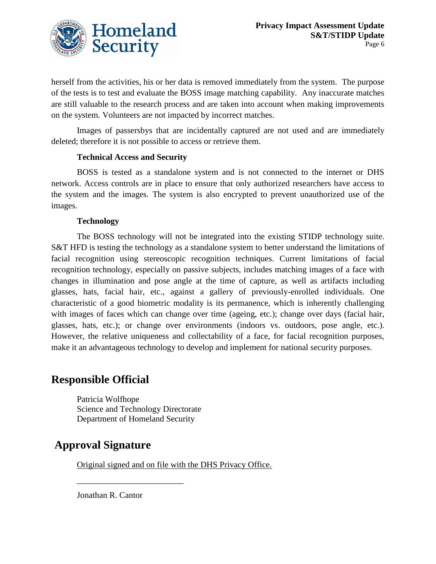

herself from the activities, his or her data is removed immediately from the system. The purpose of the tests is to test and evaluate the BOSS image matching capability. Any inaccurate matches are still valuable to the research process and are taken into account when making improvements on the system. Volunteers are not impacted by incorrect matches.

Images of passersbys that are incidentally captured are not used and are immediately deleted; therefore it is not possible to access or retrieve them.

#### **Technical Access and Security**

BOSS is tested as a standalone system and is not connected to the internet or DHS network. Access controls are in place to ensure that only authorized researchers have access to the system and the images. The system is also encrypted to prevent unauthorized use of the images.

#### **Technology**

The BOSS technology will not be integrated into the existing STIDP technology suite. S&T HFD is testing the technology as a standalone system to better understand the limitations of facial recognition using stereoscopic recognition techniques. Current limitations of facial recognition technology, especially on passive subjects, includes matching images of a face with changes in illumination and pose angle at the time of capture, as well as artifacts including glasses, hats, facial hair, etc., against a gallery of previously-enrolled individuals. One characteristic of a good biometric modality is its permanence, which is inherently challenging with images of faces which can change over time (ageing, etc.); change over days (facial hair, glasses, hats, etc.); or change over environments (indoors vs. outdoors, pose angle, etc.). However, the relative uniqueness and collectability of a face, for facial recognition purposes, make it an advantageous technology to develop and implement for national security purposes.

### **Responsible Official**

Patricia Wolfhope Science and Technology Directorate Department of Homeland Security

\_\_\_\_\_\_\_\_\_\_\_\_\_\_\_\_\_\_\_\_\_\_\_\_\_

## **Approval Signature**

Original signed and on file with the DHS Privacy Office.

Jonathan R. Cantor